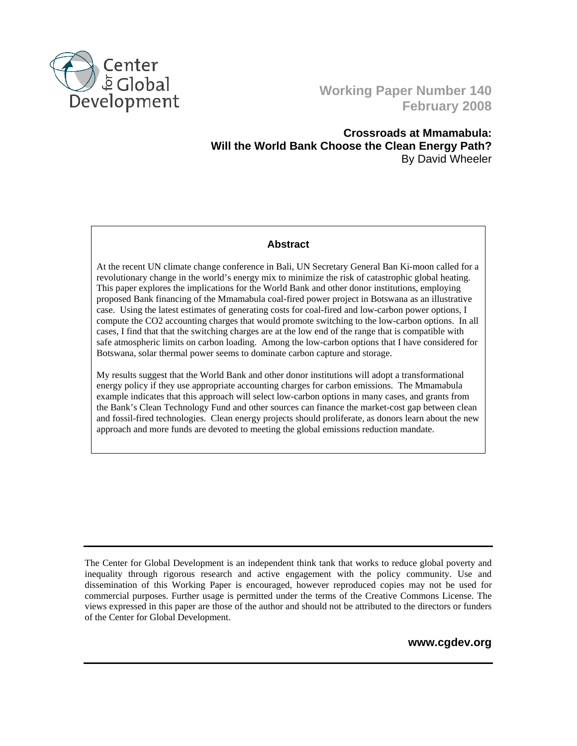

# **Working Paper Number 140 February 2008**

**Crossroads at Mmamabula: Will the World Bank Choose the Clean Energy Path?**  By David Wheeler

#### **Abstract**

At the recent UN climate change conference in Bali, UN Secretary General Ban Ki-moon called for a revolutionary change in the world's energy mix to minimize the risk of catastrophic global heating. This paper explores the implications for the World Bank and other donor institutions, employing proposed Bank financing of the Mmamabula coal-fired power project in Botswana as an illustrative case. Using the latest estimates of generating costs for coal-fired and low-carbon power options, I compute the CO2 accounting charges that would promote switching to the low-carbon options. In all cases, I find that that the switching charges are at the low end of the range that is compatible with safe atmospheric limits on carbon loading. Among the low-carbon options that I have considered for Botswana, solar thermal power seems to dominate carbon capture and storage.

My results suggest that the World Bank and other donor institutions will adopt a transformational energy policy if they use appropriate accounting charges for carbon emissions. The Mmamabula example indicates that this approach will select low-carbon options in many cases, and grants from the Bank's Clean Technology Fund and other sources can finance the market-cost gap between clean and fossil-fired technologies. Clean energy projects should proliferate, as donors learn about the new approach and more funds are devoted to meeting the global emissions reduction mandate.

The Center for Global Development is an independent think tank that works to reduce global poverty and inequality through rigorous research and active engagement with the policy community. Use and dissemination of this Working Paper is encouraged, however reproduced copies may not be used for commercial purposes. Further usage is permitted under the terms of the Creative Commons License. The views expressed in this paper are those of the author and should not be attributed to the directors or funders of the Center for Global Development.

**www.cgdev.org**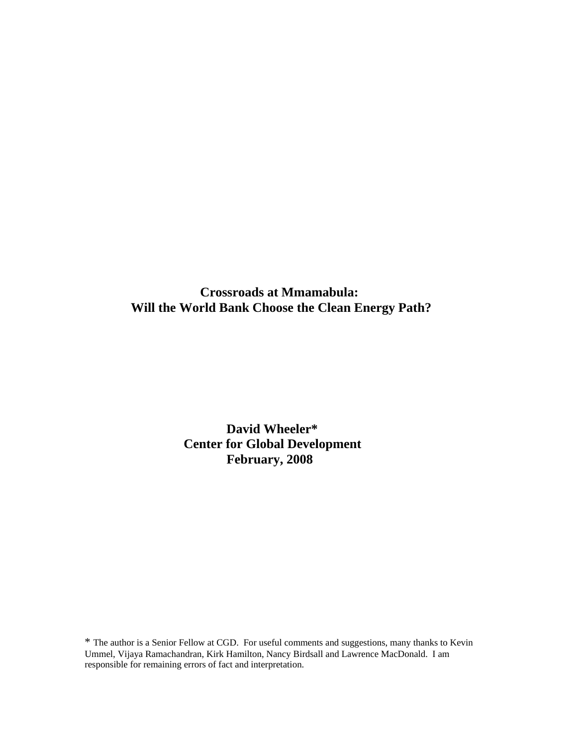**Crossroads at Mmamabula: Will the World Bank Choose the Clean Energy Path?** 

> **David Wheeler\* Center for Global Development February, 2008**

\* The author is a Senior Fellow at CGD. For useful comments and suggestions, many thanks to Kevin Ummel, Vijaya Ramachandran, Kirk Hamilton, Nancy Birdsall and Lawrence MacDonald. I am responsible for remaining errors of fact and interpretation.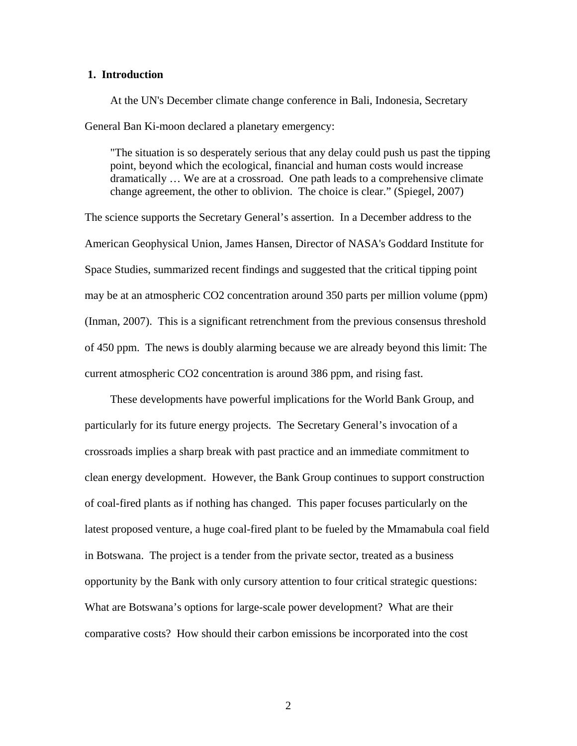#### **1. Introduction**

At the UN's December climate change conference in Bali, Indonesia, Secretary General Ban Ki-moon declared a planetary emergency:

"The situation is so desperately serious that any delay could push us past the tipping point, beyond which the ecological, financial and human costs would increase dramatically … We are at a crossroad. One path leads to a comprehensive climate change agreement, the other to oblivion. The choice is clear." (Spiegel, 2007)

The science supports the Secretary General's assertion. In a December address to the American Geophysical Union, James Hansen, Director of NASA's Goddard Institute for Space Studies, summarized recent findings and suggested that the critical tipping point may be at an atmospheric CO2 concentration around 350 parts per million volume (ppm) (Inman, 2007). This is a significant retrenchment from the previous consensus threshold of 450 ppm. The news is doubly alarming because we are already beyond this limit: The current atmospheric CO2 concentration is around 386 ppm, and rising fast.

These developments have powerful implications for the World Bank Group, and particularly for its future energy projects. The Secretary General's invocation of a crossroads implies a sharp break with past practice and an immediate commitment to clean energy development. However, the Bank Group continues to support construction of coal-fired plants as if nothing has changed. This paper focuses particularly on the latest proposed venture, a huge coal-fired plant to be fueled by the Mmamabula coal field in Botswana. The project is a tender from the private sector, treated as a business opportunity by the Bank with only cursory attention to four critical strategic questions: What are Botswana's options for large-scale power development? What are their comparative costs? How should their carbon emissions be incorporated into the cost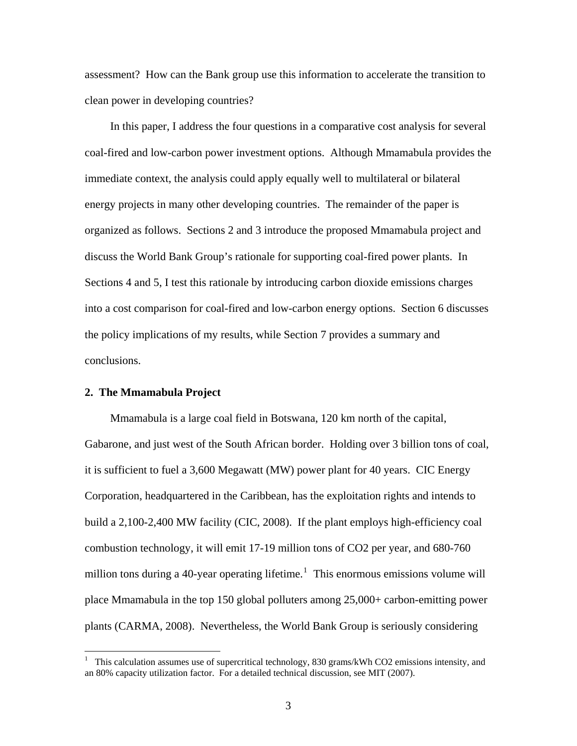assessment? How can the Bank group use this information to accelerate the transition to clean power in developing countries?

In this paper, I address the four questions in a comparative cost analysis for several coal-fired and low-carbon power investment options. Although Mmamabula provides the immediate context, the analysis could apply equally well to multilateral or bilateral energy projects in many other developing countries. The remainder of the paper is organized as follows. Sections 2 and 3 introduce the proposed Mmamabula project and discuss the World Bank Group's rationale for supporting coal-fired power plants. In Sections 4 and 5, I test this rationale by introducing carbon dioxide emissions charges into a cost comparison for coal-fired and low-carbon energy options. Section 6 discusses the policy implications of my results, while Section 7 provides a summary and conclusions.

#### **2. The Mmamabula Project**

 $\overline{a}$ 

Mmamabula is a large coal field in Botswana, 120 km north of the capital, Gabarone, and just west of the South African border. Holding over 3 billion tons of coal, it is sufficient to fuel a 3,600 Megawatt (MW) power plant for 40 years. CIC Energy Corporation, headquartered in the Caribbean, has the exploitation rights and intends to build a 2,100-2,400 MW facility (CIC, 2008). If the plant employs high-efficiency coal combustion technology, it will emit 17-19 million tons of CO2 per year, and 680-760 million tons during a 40-year operating lifetime.<sup>[1](#page-3-0)</sup> This enormous emissions volume will place Mmamabula in the top 150 global polluters among 25,000+ carbon-emitting power plants (CARMA, 2008). Nevertheless, the World Bank Group is seriously considering

<span id="page-3-0"></span><sup>1</sup> This calculation assumes use of supercritical technology, 830 grams/kWh CO2 emissions intensity, and an 80% capacity utilization factor. For a detailed technical discussion, see MIT (2007).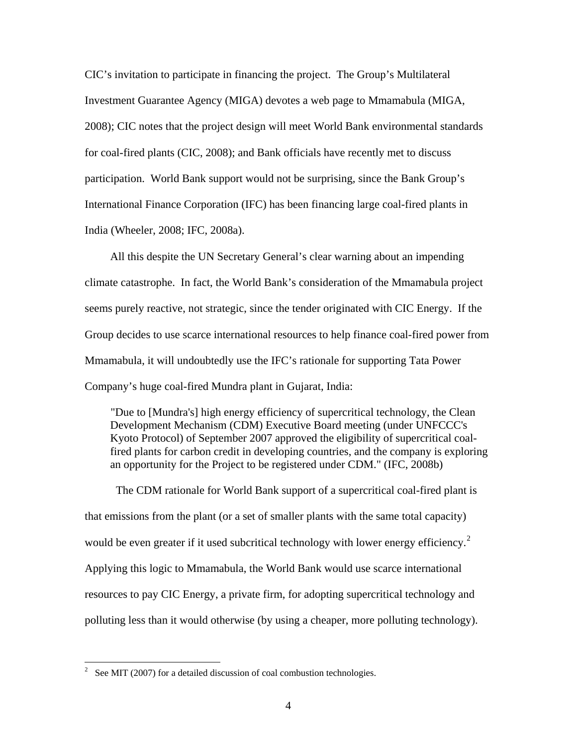CIC's invitation to participate in financing the project. The Group's Multilateral Investment Guarantee Agency (MIGA) devotes a web page to Mmamabula (MIGA, 2008); CIC notes that the project design will meet World Bank environmental standards for coal-fired plants (CIC, 2008); and Bank officials have recently met to discuss participation. World Bank support would not be surprising, since the Bank Group's International Finance Corporation (IFC) has been financing large coal-fired plants in India (Wheeler, 2008; IFC, 2008a).

All this despite the UN Secretary General's clear warning about an impending climate catastrophe. In fact, the World Bank's consideration of the Mmamabula project seems purely reactive, not strategic, since the tender originated with CIC Energy. If the Group decides to use scarce international resources to help finance coal-fired power from Mmamabula, it will undoubtedly use the IFC's rationale for supporting Tata Power Company's huge coal-fired Mundra plant in Gujarat, India:

"Due to [Mundra's] high energy efficiency of supercritical technology, the Clean Development Mechanism (CDM) Executive Board meeting (under UNFCCC's Kyoto Protocol) of September 2007 approved the eligibility of supercritical coalfired plants for carbon credit in developing countries, and the company is exploring an opportunity for the Project to be registered under CDM." (IFC, 2008b)

 The CDM rationale for World Bank support of a supercritical coal-fired plant is that emissions from the plant (or a set of smaller plants with the same total capacity) would be even greater if it used subcritical technology with lower energy efficiency.<sup>[2](#page-4-0)</sup> Applying this logic to Mmamabula, the World Bank would use scarce international resources to pay CIC Energy, a private firm, for adopting supercritical technology and polluting less than it would otherwise (by using a cheaper, more polluting technology).

<span id="page-4-0"></span><sup>&</sup>lt;sup>2</sup> See MIT (2007) for a detailed discussion of coal combustion technologies.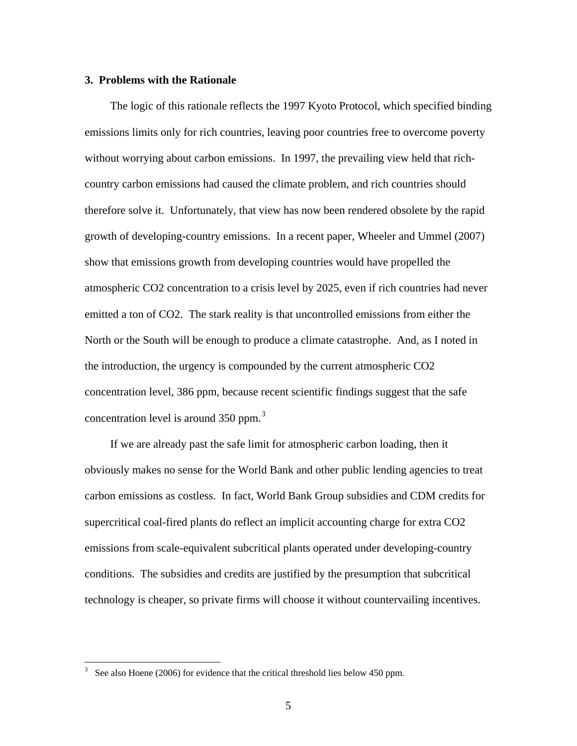#### **3. Problems with the Rationale**

The logic of this rationale reflects the 1997 Kyoto Protocol, which specified binding emissions limits only for rich countries, leaving poor countries free to overcome poverty without worrying about carbon emissions. In 1997, the prevailing view held that richcountry carbon emissions had caused the climate problem, and rich countries should therefore solve it. Unfortunately, that view has now been rendered obsolete by the rapid growth of developing-country emissions. In a recent paper, Wheeler and Ummel (2007) show that emissions growth from developing countries would have propelled the atmospheric CO2 concentration to a crisis level by 2025, even if rich countries had never emitted a ton of CO2. The stark reality is that uncontrolled emissions from either the North or the South will be enough to produce a climate catastrophe. And, as I noted in the introduction, the urgency is compounded by the current atmospheric CO2 concentration level, 386 ppm, because recent scientific findings suggest that the safe concentration level is around [3](#page-5-0)50 ppm. $3$ 

If we are already past the safe limit for atmospheric carbon loading, then it obviously makes no sense for the World Bank and other public lending agencies to treat carbon emissions as costless. In fact, World Bank Group subsidies and CDM credits for supercritical coal-fired plants do reflect an implicit accounting charge for extra CO2 emissions from scale-equivalent subcritical plants operated under developing-country conditions. The subsidies and credits are justified by the presumption that subcritical technology is cheaper, so private firms will choose it without countervailing incentives.

 $\overline{a}$ 

<span id="page-5-0"></span><sup>3</sup> See also Hoene (2006) for evidence that the critical threshold lies below 450 ppm.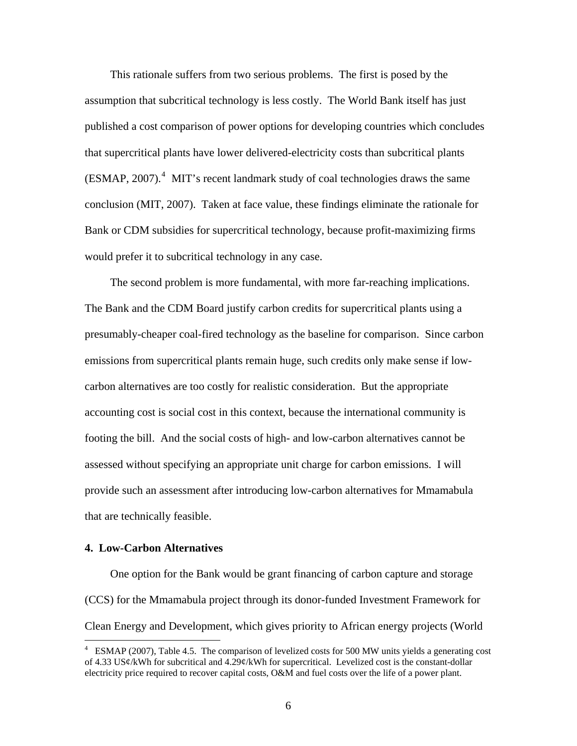This rationale suffers from two serious problems. The first is posed by the assumption that subcritical technology is less costly. The World Bank itself has just published a cost comparison of power options for developing countries which concludes that supercritical plants have lower delivered-electricity costs than subcritical plants  $(ESMAP, 2007).$ <sup>[4](#page-6-0)</sup> MIT's recent landmark study of coal technologies draws the same conclusion (MIT, 2007). Taken at face value, these findings eliminate the rationale for Bank or CDM subsidies for supercritical technology, because profit-maximizing firms would prefer it to subcritical technology in any case.

The second problem is more fundamental, with more far-reaching implications. The Bank and the CDM Board justify carbon credits for supercritical plants using a presumably-cheaper coal-fired technology as the baseline for comparison. Since carbon emissions from supercritical plants remain huge, such credits only make sense if lowcarbon alternatives are too costly for realistic consideration. But the appropriate accounting cost is social cost in this context, because the international community is footing the bill. And the social costs of high- and low-carbon alternatives cannot be assessed without specifying an appropriate unit charge for carbon emissions. I will provide such an assessment after introducing low-carbon alternatives for Mmamabula that are technically feasible.

### **4. Low-Carbon Alternatives**

 $\overline{a}$ 

One option for the Bank would be grant financing of carbon capture and storage (CCS) for the Mmamabula project through its donor-funded Investment Framework for Clean Energy and Development, which gives priority to African energy projects (World

<span id="page-6-0"></span><sup>&</sup>lt;sup>4</sup> ESMAP (2007), Table 4.5. The comparison of levelized costs for 500 MW units yields a generating cost of 4.33 US¢/kWh for subcritical and 4.29¢/kWh for supercritical. Levelized cost is the constant-dollar electricity price required to recover capital costs, O&M and fuel costs over the life of a power plant.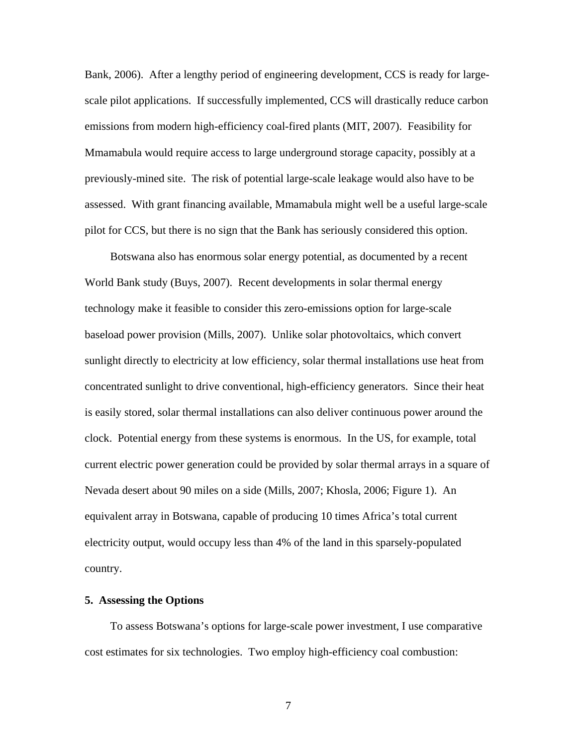Bank, 2006). After a lengthy period of engineering development, CCS is ready for largescale pilot applications. If successfully implemented, CCS will drastically reduce carbon emissions from modern high-efficiency coal-fired plants (MIT, 2007). Feasibility for Mmamabula would require access to large underground storage capacity, possibly at a previously-mined site. The risk of potential large-scale leakage would also have to be assessed. With grant financing available, Mmamabula might well be a useful large-scale pilot for CCS, but there is no sign that the Bank has seriously considered this option.

Botswana also has enormous solar energy potential, as documented by a recent World Bank study (Buys, 2007). Recent developments in solar thermal energy technology make it feasible to consider this zero-emissions option for large-scale baseload power provision (Mills, 2007). Unlike solar photovoltaics, which convert sunlight directly to electricity at low efficiency, solar thermal installations use heat from concentrated sunlight to drive conventional, high-efficiency generators. Since their heat is easily stored, solar thermal installations can also deliver continuous power around the clock. Potential energy from these systems is enormous. In the US, for example, total current electric power generation could be provided by solar thermal arrays in a square of Nevada desert about 90 miles on a side (Mills, 2007; Khosla, 2006; Figure 1). An equivalent array in Botswana, capable of producing 10 times Africa's total current electricity output, would occupy less than 4% of the land in this sparsely-populated country.

# **5. Assessing the Options**

To assess Botswana's options for large-scale power investment, I use comparative cost estimates for six technologies. Two employ high-efficiency coal combustion:

7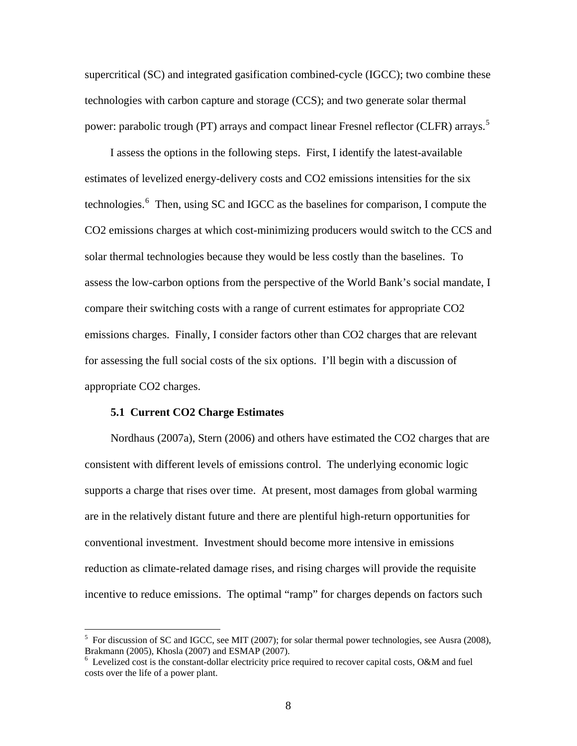supercritical (SC) and integrated gasification combined-cycle (IGCC); two combine these technologies with carbon capture and storage (CCS); and two generate solar thermal power: parabolic trough (PT) arrays and compact linear Fresnel reflector (CLFR) arrays.<sup>[5](#page-8-0)</sup>

I assess the options in the following steps. First, I identify the latest-available estimates of levelized energy-delivery costs and CO2 emissions intensities for the six technologies.<sup>[6](#page-8-1)</sup> Then, using SC and IGCC as the baselines for comparison, I compute the CO2 emissions charges at which cost-minimizing producers would switch to the CCS and solar thermal technologies because they would be less costly than the baselines. To assess the low-carbon options from the perspective of the World Bank's social mandate, I compare their switching costs with a range of current estimates for appropriate CO2 emissions charges. Finally, I consider factors other than CO2 charges that are relevant for assessing the full social costs of the six options. I'll begin with a discussion of appropriate CO2 charges.

# **5.1 Current CO2 Charge Estimates**

 $\overline{a}$ 

Nordhaus (2007a), Stern (2006) and others have estimated the CO2 charges that are consistent with different levels of emissions control. The underlying economic logic supports a charge that rises over time. At present, most damages from global warming are in the relatively distant future and there are plentiful high-return opportunities for conventional investment. Investment should become more intensive in emissions reduction as climate-related damage rises, and rising charges will provide the requisite incentive to reduce emissions. The optimal "ramp" for charges depends on factors such

<span id="page-8-0"></span> $<sup>5</sup>$  For discussion of SC and IGCC, see MIT (2007); for solar thermal power technologies, see Ausra (2008),</sup> Brakmann (2005), Khosla (2007) and ESMAP (2007).

<span id="page-8-1"></span> $6$  Levelized cost is the constant-dollar electricity price required to recover capital costs, O&M and fuel costs over the life of a power plant.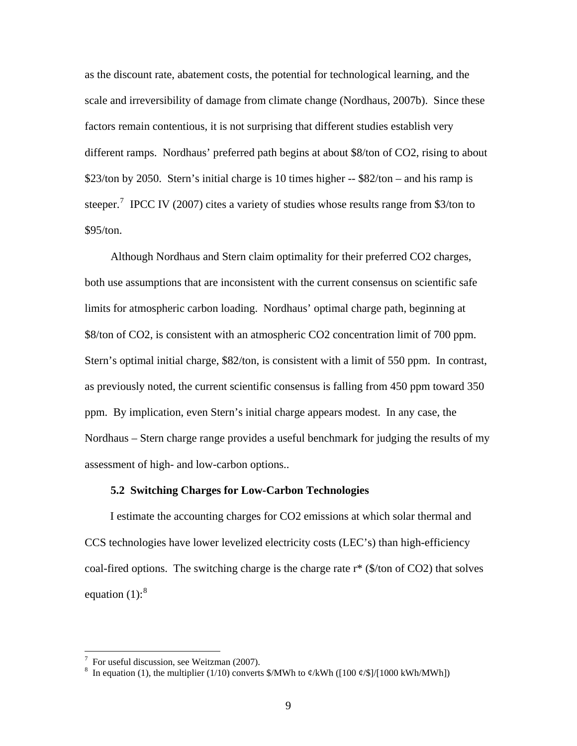as the discount rate, abatement costs, the potential for technological learning, and the scale and irreversibility of damage from climate change (Nordhaus, 2007b). Since these factors remain contentious, it is not surprising that different studies establish very different ramps. Nordhaus' preferred path begins at about \$8/ton of CO2, rising to about \$23/ton by 2050. Stern's initial charge is 10 times higher  $-$  \$82/ton – and his ramp is steeper.<sup>[7](#page-9-0)</sup> IPCC IV (2007) cites a variety of studies whose results range from \$3/ton to \$95/ton.

Although Nordhaus and Stern claim optimality for their preferred CO2 charges, both use assumptions that are inconsistent with the current consensus on scientific safe limits for atmospheric carbon loading. Nordhaus' optimal charge path, beginning at \$8/ton of CO2, is consistent with an atmospheric CO2 concentration limit of 700 ppm. Stern's optimal initial charge, \$82/ton, is consistent with a limit of 550 ppm. In contrast, as previously noted, the current scientific consensus is falling from 450 ppm toward 350 ppm. By implication, even Stern's initial charge appears modest. In any case, the Nordhaus – Stern charge range provides a useful benchmark for judging the results of my assessment of high- and low-carbon options..

## **5.2 Switching Charges for Low-Carbon Technologies**

I estimate the accounting charges for CO2 emissions at which solar thermal and CCS technologies have lower levelized electricity costs (LEC's) than high-efficiency coal-fired options. The switching charge is the charge rate  $r^*$  (\$/ton of CO2) that solves equation  $(1)$ :<sup>[8](#page-9-1)</sup>

 $\overline{a}$ 

<span id="page-9-0"></span> $7$  For useful discussion, see Weitzman (2007).

<span id="page-9-1"></span><sup>8</sup> In equation (1), the multiplier (1/10) converts \$/MWh to  $\phi$ /kWh ([100  $\phi$ /\$]/[1000 kWh/MWh])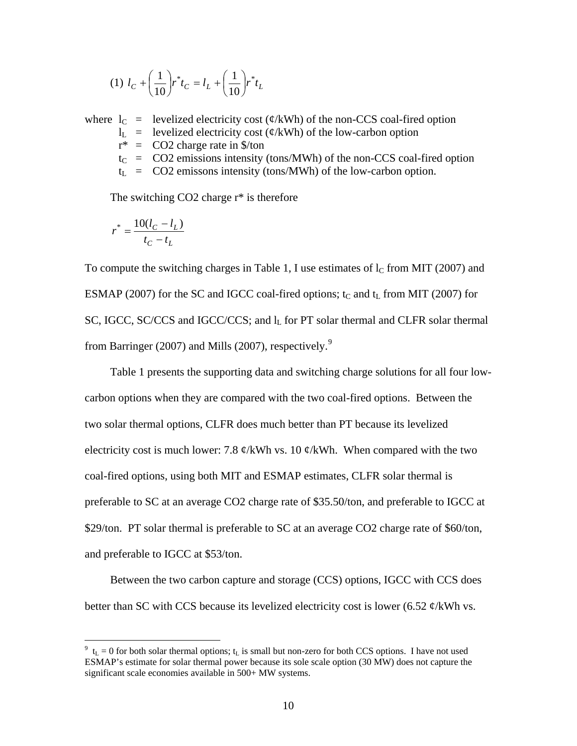(1) 
$$
l_C + \left(\frac{1}{10}\right) r^* t_C = l_L + \left(\frac{1}{10}\right) r^* t_L
$$

where  $l_C$  = levelized electricity cost ( $\phi$ /kWh) of the non-CCS coal-fired option  $l_L$  = levelized electricity cost ( $\phi$ /kWh) of the low-carbon option  $r^*$  = CO2 charge rate in \$/ton  $t_C$  = CO2 emissions intensity (tons/MWh) of the non-CCS coal-fired option  $t_L$  = CO2 emissons intensity (tons/MWh) of the low-carbon option.

The switching CO2 charge  $r^*$  is therefore

$$
r^* = \frac{10(l_C - l_L)}{t_C - t_L}
$$

 $\overline{a}$ 

To compute the switching charges in Table 1, I use estimates of  $l_c$  from MIT (2007) and ESMAP (2007) for the SC and IGCC coal-fired options;  $t<sub>C</sub>$  and  $t<sub>L</sub>$  from MIT (2007) for SC, IGCC, SC/CCS and IGCC/CCS; and  $I<sub>L</sub>$  for PT solar thermal and CLFR solar thermal from Barringer (2007) and Mills (2007), respectively.<sup>[9](#page-10-0)</sup>

Table 1 presents the supporting data and switching charge solutions for all four lowcarbon options when they are compared with the two coal-fired options. Between the two solar thermal options, CLFR does much better than PT because its levelized electricity cost is much lower: 7.8  $\phi$ /kWh vs. 10  $\phi$ /kWh. When compared with the two coal-fired options, using both MIT and ESMAP estimates, CLFR solar thermal is preferable to SC at an average CO2 charge rate of \$35.50/ton, and preferable to IGCC at \$29/ton. PT solar thermal is preferable to SC at an average CO2 charge rate of \$60/ton, and preferable to IGCC at \$53/ton.

Between the two carbon capture and storage (CCS) options, IGCC with CCS does better than SC with CCS because its levelized electricity cost is lower  $(6.52 \, \phi/\text{kWh} \, \text{vs.})$ 

<span id="page-10-0"></span> $9 \text{ t}_{\text{L}} = 0$  for both solar thermal options;  $t_{\text{L}}$  is small but non-zero for both CCS options. I have not used ESMAP's estimate for solar thermal power because its sole scale option (30 MW) does not capture the significant scale economies available in 500+ MW systems.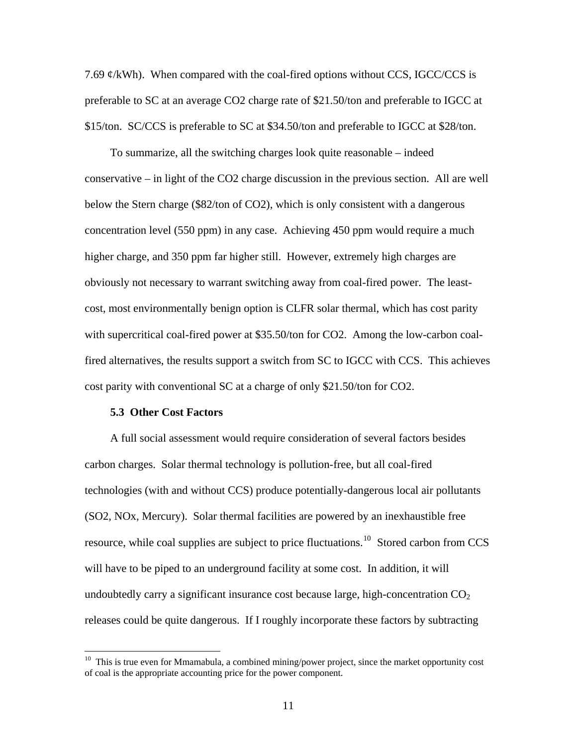7.69  $\mathcal{C}/k$ Wh). When compared with the coal-fired options without CCS, IGCC/CCS is preferable to SC at an average CO2 charge rate of \$21.50/ton and preferable to IGCC at \$15/ton. SC/CCS is preferable to SC at \$34.50/ton and preferable to IGCC at \$28/ton.

To summarize, all the switching charges look quite reasonable – indeed conservative – in light of the CO2 charge discussion in the previous section. All are well below the Stern charge (\$82/ton of CO2), which is only consistent with a dangerous concentration level (550 ppm) in any case. Achieving 450 ppm would require a much higher charge, and 350 ppm far higher still. However, extremely high charges are obviously not necessary to warrant switching away from coal-fired power. The leastcost, most environmentally benign option is CLFR solar thermal, which has cost parity with supercritical coal-fired power at \$35.50/ton for CO2. Among the low-carbon coalfired alternatives, the results support a switch from SC to IGCC with CCS. This achieves cost parity with conventional SC at a charge of only \$21.50/ton for CO2.

#### **5.3 Other Cost Factors**

 $\overline{a}$ 

A full social assessment would require consideration of several factors besides carbon charges. Solar thermal technology is pollution-free, but all coal-fired technologies (with and without CCS) produce potentially-dangerous local air pollutants (SO2, NOx, Mercury). Solar thermal facilities are powered by an inexhaustible free resource, while coal supplies are subject to price fluctuations.<sup>[10](#page-11-0)</sup> Stored carbon from CCS will have to be piped to an underground facility at some cost. In addition, it will undoubtedly carry a significant insurance cost because large, high-concentration  $CO<sub>2</sub>$ releases could be quite dangerous. If I roughly incorporate these factors by subtracting

<span id="page-11-0"></span> $10$  This is true even for Mmamabula, a combined mining/power project, since the market opportunity cost of coal is the appropriate accounting price for the power component.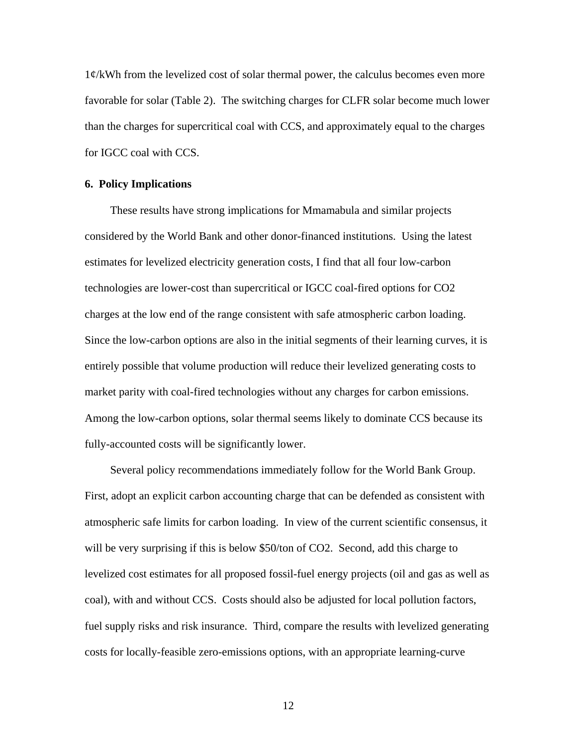1¢/kWh from the levelized cost of solar thermal power, the calculus becomes even more favorable for solar (Table 2). The switching charges for CLFR solar become much lower than the charges for supercritical coal with CCS, and approximately equal to the charges for IGCC coal with CCS.

# **6. Policy Implications**

These results have strong implications for Mmamabula and similar projects considered by the World Bank and other donor-financed institutions. Using the latest estimates for levelized electricity generation costs, I find that all four low-carbon technologies are lower-cost than supercritical or IGCC coal-fired options for CO2 charges at the low end of the range consistent with safe atmospheric carbon loading. Since the low-carbon options are also in the initial segments of their learning curves, it is entirely possible that volume production will reduce their levelized generating costs to market parity with coal-fired technologies without any charges for carbon emissions. Among the low-carbon options, solar thermal seems likely to dominate CCS because its fully-accounted costs will be significantly lower.

Several policy recommendations immediately follow for the World Bank Group. First, adopt an explicit carbon accounting charge that can be defended as consistent with atmospheric safe limits for carbon loading. In view of the current scientific consensus, it will be very surprising if this is below \$50/ton of CO2. Second, add this charge to levelized cost estimates for all proposed fossil-fuel energy projects (oil and gas as well as coal), with and without CCS. Costs should also be adjusted for local pollution factors, fuel supply risks and risk insurance. Third, compare the results with levelized generating costs for locally-feasible zero-emissions options, with an appropriate learning-curve

12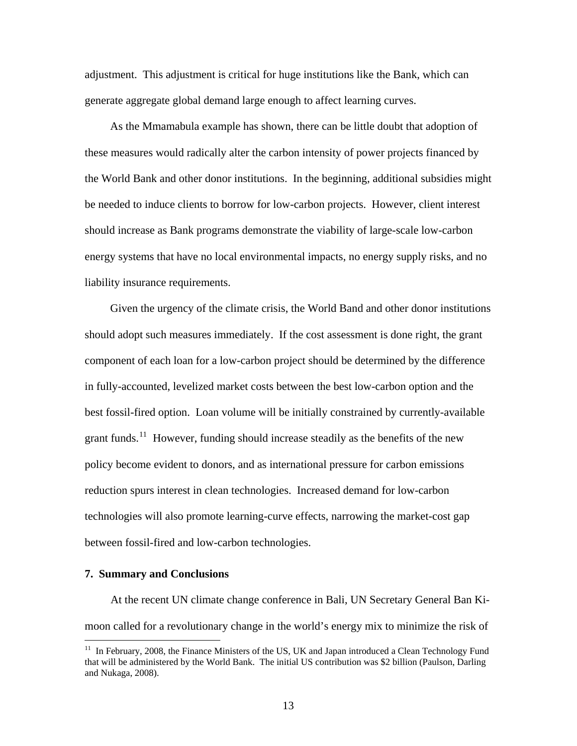adjustment. This adjustment is critical for huge institutions like the Bank, which can generate aggregate global demand large enough to affect learning curves.

As the Mmamabula example has shown, there can be little doubt that adoption of these measures would radically alter the carbon intensity of power projects financed by the World Bank and other donor institutions. In the beginning, additional subsidies might be needed to induce clients to borrow for low-carbon projects. However, client interest should increase as Bank programs demonstrate the viability of large-scale low-carbon energy systems that have no local environmental impacts, no energy supply risks, and no liability insurance requirements.

Given the urgency of the climate crisis, the World Band and other donor institutions should adopt such measures immediately. If the cost assessment is done right, the grant component of each loan for a low-carbon project should be determined by the difference in fully-accounted, levelized market costs between the best low-carbon option and the best fossil-fired option. Loan volume will be initially constrained by currently-available grant funds.<sup>[11](#page-13-0)</sup> However, funding should increase steadily as the benefits of the new policy become evident to donors, and as international pressure for carbon emissions reduction spurs interest in clean technologies. Increased demand for low-carbon technologies will also promote learning-curve effects, narrowing the market-cost gap between fossil-fired and low-carbon technologies.

# **7. Summary and Conclusions**

 $\overline{a}$ 

At the recent UN climate change conference in Bali, UN Secretary General Ban Kimoon called for a revolutionary change in the world's energy mix to minimize the risk of

<span id="page-13-0"></span><sup>&</sup>lt;sup>11</sup> In February, 2008, the Finance Ministers of the US, UK and Japan introduced a Clean Technology Fund that will be administered by the World Bank. The initial US contribution was \$2 billion (Paulson, Darling and Nukaga, 2008).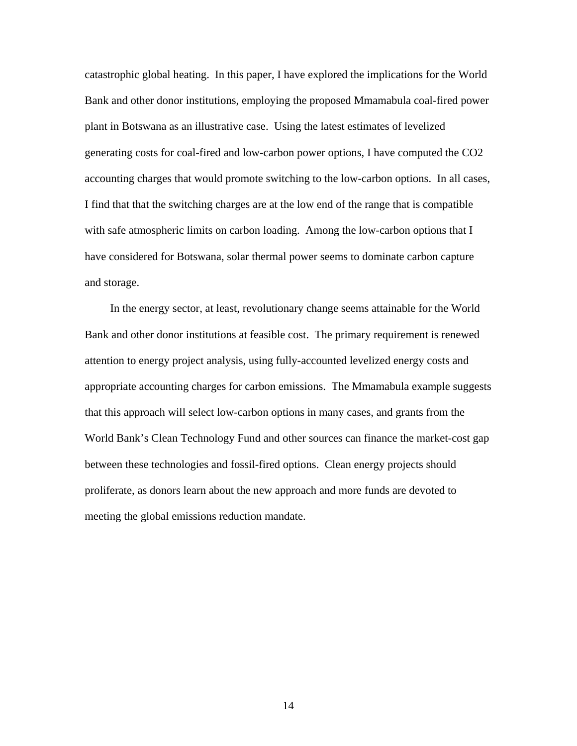catastrophic global heating. In this paper, I have explored the implications for the World Bank and other donor institutions, employing the proposed Mmamabula coal-fired power plant in Botswana as an illustrative case. Using the latest estimates of levelized generating costs for coal-fired and low-carbon power options, I have computed the CO2 accounting charges that would promote switching to the low-carbon options. In all cases, I find that that the switching charges are at the low end of the range that is compatible with safe atmospheric limits on carbon loading. Among the low-carbon options that I have considered for Botswana, solar thermal power seems to dominate carbon capture and storage.

In the energy sector, at least, revolutionary change seems attainable for the World Bank and other donor institutions at feasible cost. The primary requirement is renewed attention to energy project analysis, using fully-accounted levelized energy costs and appropriate accounting charges for carbon emissions. The Mmamabula example suggests that this approach will select low-carbon options in many cases, and grants from the World Bank's Clean Technology Fund and other sources can finance the market-cost gap between these technologies and fossil-fired options. Clean energy projects should proliferate, as donors learn about the new approach and more funds are devoted to meeting the global emissions reduction mandate.

14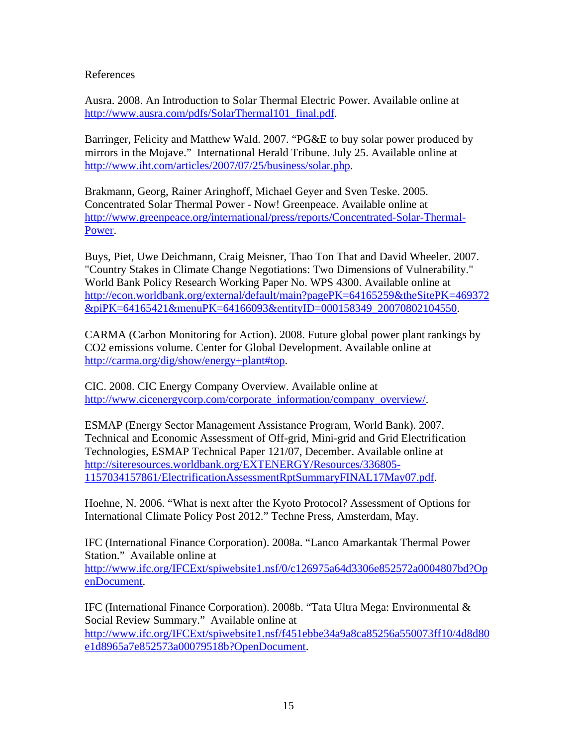# References

Ausra. 2008. An Introduction to Solar Thermal Electric Power. Available online at [http://www.ausra.com/pdfs/SolarThermal101\\_final.pdf.](http://www.ausra.com/pdfs/SolarThermal101_final.pdf)

Barringer, Felicity and Matthew Wald. 2007. "PG&E to buy solar power produced by mirrors in the Mojave." International Herald Tribune. July 25. Available online at [http://www.iht.com/articles/2007/07/25/business/solar.php.](http://www.iht.com/articles/2007/07/25/business/solar.php)

Brakmann, Georg, Rainer Aringhoff, Michael Geyer and Sven Teske. 2005. Concentrated Solar Thermal Power - Now! Greenpeace. Available online at [http://www.greenpeace.org/international/press/reports/Concentrated-Solar-Thermal-](http://www.greenpeace.org/international/press/reports/Concentrated-Solar-Thermal-Power)[Power.](http://www.greenpeace.org/international/press/reports/Concentrated-Solar-Thermal-Power)

Buys, Piet, Uwe Deichmann, Craig Meisner, Thao Ton That and David Wheeler. 2007. "Country Stakes in Climate Change Negotiations: Two Dimensions of Vulnerability." World Bank Policy Research Working Paper No. WPS 4300. Available online at [http://econ.worldbank.org/external/default/main?pagePK=64165259&theSitePK=469372](http://econ.worldbank.org/external/default/main?pagePK=64165259&theSitePK=469372&piPK=64165421&menuPK=64166093&entityID=000158349_20070802104550) [&piPK=64165421&menuPK=64166093&entityID=000158349\\_20070802104550.](http://econ.worldbank.org/external/default/main?pagePK=64165259&theSitePK=469372&piPK=64165421&menuPK=64166093&entityID=000158349_20070802104550)

CARMA (Carbon Monitoring for Action). 2008. Future global power plant rankings by CO2 emissions volume. Center for Global Development. Available online at <http://carma.org/dig/show/energy+plant#top>.

CIC. 2008. CIC Energy Company Overview. Available online at [http://www.cicenergycorp.com/corporate\\_information/company\\_overview/.](http://www.cicenergycorp.com/corporate_information/company_overview/)

ESMAP (Energy Sector Management Assistance Program, World Bank). 2007. Technical and Economic Assessment of Off-grid, Mini-grid and Grid Electrification Technologies, ESMAP Technical Paper 121/07, December. Available online at [http://siteresources.worldbank.org/EXTENERGY/Resources/336805-](http://siteresources.worldbank.org/EXTENERGY/Resources/336805-1157034157861/ElectrificationAssessmentRptSummaryFINAL17May07.pdf) [1157034157861/ElectrificationAssessmentRptSummaryFINAL17May07.pdf.](http://siteresources.worldbank.org/EXTENERGY/Resources/336805-1157034157861/ElectrificationAssessmentRptSummaryFINAL17May07.pdf)

Hoehne, N. 2006. "What is next after the Kyoto Protocol? Assessment of Options for International Climate Policy Post 2012." Techne Press, Amsterdam, May.

IFC (International Finance Corporation). 2008a. "Lanco Amarkantak Thermal Power Station." Available online at [http://www.ifc.org/IFCExt/spiwebsite1.nsf/0/c126975a64d3306e852572a0004807bd?Op](http://www.ifc.org/IFCExt/spiwebsite1.nsf/0/c126975a64d3306e852572a0004807bd?OpenDocument) [enDocument](http://www.ifc.org/IFCExt/spiwebsite1.nsf/0/c126975a64d3306e852572a0004807bd?OpenDocument).

IFC (International Finance Corporation). 2008b. "Tata Ultra Mega: Environmental & Social Review Summary." Available online at [http://www.ifc.org/IFCExt/spiwebsite1.nsf/f451ebbe34a9a8ca85256a550073ff10/4d8d80](http://www.ifc.org/IFCExt/spiwebsite1.nsf/f451ebbe34a9a8ca85256a550073ff10/4d8d80e1d8965a7e852573a00079518b?OpenDocument) [e1d8965a7e852573a00079518b?OpenDocument.](http://www.ifc.org/IFCExt/spiwebsite1.nsf/f451ebbe34a9a8ca85256a550073ff10/4d8d80e1d8965a7e852573a00079518b?OpenDocument)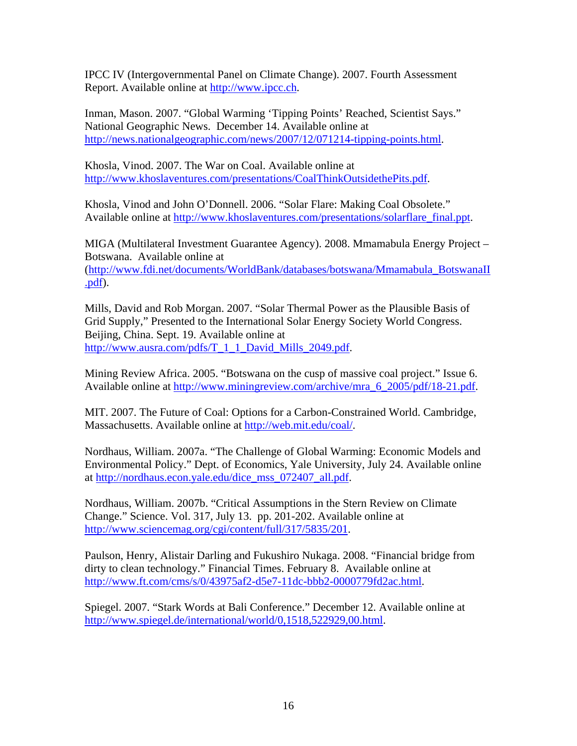IPCC IV (Intergovernmental Panel on Climate Change). 2007. Fourth Assessment Report. Available online at [http://www.ipcc.ch.](http://www.ipcc.ch/)

Inman, Mason. 2007. "Global Warming 'Tipping Points' Reached, Scientist Says." National Geographic News. December 14. Available online at <http://news.nationalgeographic.com/news/2007/12/071214-tipping-points.html>.

Khosla, Vinod. 2007. The War on Coal. Available online at [http://www.khoslaventures.com/presentations/CoalThinkOutsidethePits.pdf.](http://www.khoslaventures.com/presentations/CoalThinkOutsidethePits.pdf)

Khosla, Vinod and John O'Donnell. 2006. "Solar Flare: Making Coal Obsolete." Available online at [http://www.khoslaventures.com/presentations/solarflare\\_final.ppt](http://www.khoslaventures.com/presentations/solarflare_final.ppt).

MIGA (Multilateral Investment Guarantee Agency). 2008. Mmamabula Energy Project – Botswana. Available online at ([http://www.fdi.net/documents/WorldBank/databases/botswana/Mmamabula\\_BotswanaII](http://www.fdi.net/documents/WorldBank/databases/botswana/Mmamabula_BotswanaII.pdf) [.pdf\)](http://www.fdi.net/documents/WorldBank/databases/botswana/Mmamabula_BotswanaII.pdf).

Mills, David and Rob Morgan. 2007. "Solar Thermal Power as the Plausible Basis of Grid Supply," Presented to the International Solar Energy Society World Congress. Beijing, China. Sept. 19. Available online at [http://www.ausra.com/pdfs/T\\_1\\_1\\_David\\_Mills\\_2049.pdf.](http://www.ausra.com/pdfs/T_1_1_David_Mills_2049.pdf)

Mining Review Africa. 2005. "Botswana on the cusp of massive coal project." Issue 6. Available online at [http://www.miningreview.com/archive/mra\\_6\\_2005/pdf/18-21.pdf.](http://www.miningreview.com/archive/mra_6_2005/pdf/18-21.pdf)

MIT. 2007. The Future of Coal: Options for a Carbon-Constrained World. Cambridge, Massachusetts. Available online at <http://web.mit.edu/coal/>.

Nordhaus, William. 2007a. "The Challenge of Global Warming: Economic Models and Environmental Policy." Dept. of Economics, Yale University, July 24. Available online at [http://nordhaus.econ.yale.edu/dice\\_mss\\_072407\\_all.pdf](http://nordhaus.econ.yale.edu/dice_mss_072407_all.pdf).

Nordhaus, William. 2007b. "Critical Assumptions in the Stern Review on Climate Change." Science. Vol. 317, July 13. pp. 201-202. Available online at <http://www.sciencemag.org/cgi/content/full/317/5835/201>.

Paulson, Henry, Alistair Darling and Fukushiro Nukaga. 2008. "Financial bridge from dirty to clean technology." Financial Times. February 8. Available online at [http://www.ft.com/cms/s/0/43975af2-d5e7-11dc-bbb2-0000779fd2ac.html.](http://www.ft.com/cms/s/0/43975af2-d5e7-11dc-bbb2-0000779fd2ac.html)

Spiegel. 2007. "Stark Words at Bali Conference." December 12. Available online at [http://www.spiegel.de/international/world/0,1518,522929,00.html.](http://www.spiegel.de/international/world/0,1518,522929,00.html)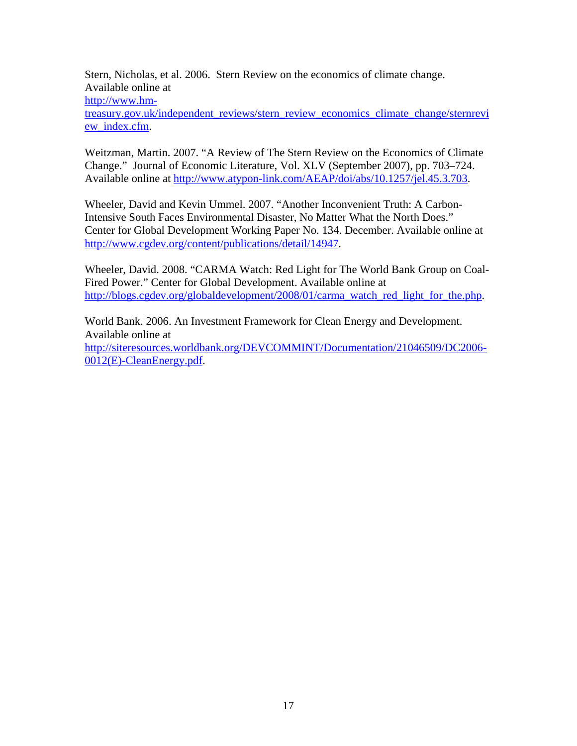Stern, Nicholas, et al. 2006. Stern Review on the economics of climate change. Available online at [http://www.hm](http://www.hm-treasury.gov.uk/independent_reviews/stern_review_economics_climate_change/sternreview_index.cfm)[treasury.gov.uk/independent\\_reviews/stern\\_review\\_economics\\_climate\\_change/sternrevi](http://www.hm-treasury.gov.uk/independent_reviews/stern_review_economics_climate_change/sternreview_index.cfm) [ew\\_index.cfm](http://www.hm-treasury.gov.uk/independent_reviews/stern_review_economics_climate_change/sternreview_index.cfm).

Weitzman, Martin. 2007. "A Review of The Stern Review on the Economics of Climate Change." Journal of Economic Literature, Vol. XLV (September 2007), pp. 703–724. Available online at<http://www.atypon-link.com/AEAP/doi/abs/10.1257/jel.45.3.703>.

Wheeler, David and Kevin Ummel. 2007. "Another Inconvenient Truth: A Carbon-Intensive South Faces Environmental Disaster, No Matter What the North Does." Center for Global Development Working Paper No. 134. December. Available online at <http://www.cgdev.org/content/publications/detail/14947>.

Wheeler, David. 2008. "CARMA Watch: Red Light for The World Bank Group on Coal-Fired Power." Center for Global Development. Available online at [http://blogs.cgdev.org/globaldevelopment/2008/01/carma\\_watch\\_red\\_light\\_for\\_the.php.](http://blogs.cgdev.org/globaldevelopment/2008/01/carma_watch_red_light_for_the.php)

World Bank. 2006. An Investment Framework for Clean Energy and Development. Available online at [http://siteresources.worldbank.org/DEVCOMMINT/Documentation/21046509/DC2006-](http://siteresources.worldbank.org/DEVCOMMINT/Documentation/21046509/DC2006-0012(E)-CleanEnergy.pdf) [0012\(E\)-CleanEnergy.pdf.](http://siteresources.worldbank.org/DEVCOMMINT/Documentation/21046509/DC2006-0012(E)-CleanEnergy.pdf)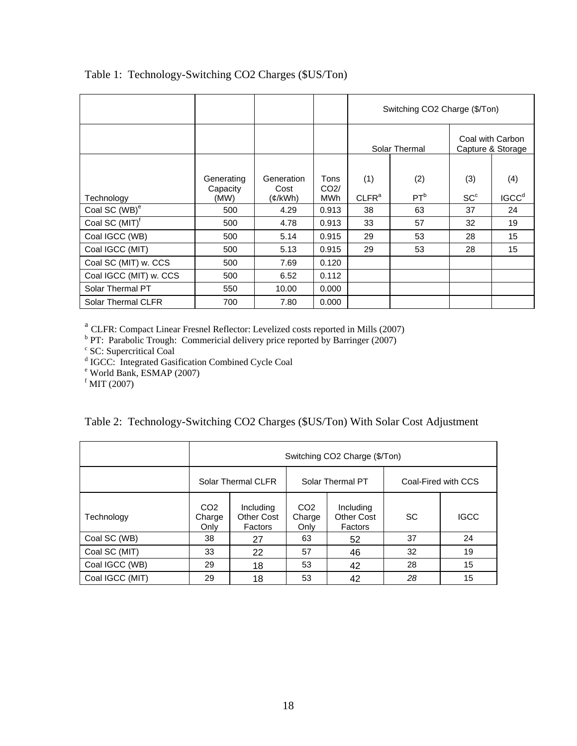|                            |                        |                     |                         | Switching CO2 Charge (\$/Ton) |                 |                                       |                   |
|----------------------------|------------------------|---------------------|-------------------------|-------------------------------|-----------------|---------------------------------------|-------------------|
|                            |                        |                     |                         | Solar Thermal                 |                 | Coal with Carbon<br>Capture & Storage |                   |
|                            |                        |                     |                         |                               |                 |                                       |                   |
|                            | Generating<br>Capacity | Generation<br>Cost  | Tons<br>CO <sub>2</sub> | (1)                           | (2)             | (3)                                   | (4)               |
| Technology                 | (MW)                   | $(\mathcal{C}/kWh)$ | <b>MWh</b>              | CLFR <sup>a</sup>             | PT <sup>b</sup> | SC <sup>c</sup>                       | IGCC <sup>d</sup> |
| Coal SC (WB) <sup>e</sup>  | 500                    | 4.29                | 0.913                   | 38                            | 63              | 37                                    | 24                |
| Coal SC (MIT) <sup>f</sup> | 500                    | 4.78                | 0.913                   | 33                            | 57              | 32                                    | 19                |
| Coal IGCC (WB)             | 500                    | 5.14                | 0.915                   | 29                            | 53              | 28                                    | 15                |
| Coal IGCC (MIT)            | 500                    | 5.13                | 0.915                   | 29                            | 53              | 28                                    | 15                |
| Coal SC (MIT) w. CCS       | 500                    | 7.69                | 0.120                   |                               |                 |                                       |                   |
| Coal IGCC (MIT) w. CCS     | 500                    | 6.52                | 0.112                   |                               |                 |                                       |                   |
| Solar Thermal PT           | 550                    | 10.00               | 0.000                   |                               |                 |                                       |                   |
| Solar Thermal CLFR         | 700                    | 7.80                | 0.000                   |                               |                 |                                       |                   |

# Table 1: Technology-Switching CO2 Charges (\$US/Ton)

<sup>a</sup> CLFR: Compact Linear Fresnel Reflector: Levelized costs reported in Mills (2007)<br><sup>b</sup> PT: Parabolic Trough: Commericial delivery price reported by Barringer (2007)<br><sup>c</sup> SC: Supercritical Coal<br><sup>d</sup> IGCC: Integrated Gasific

|  |  |  |  |  |  | Table 2: Technology-Switching CO2 Charges (\$US/Ton) With Solar Cost Adjustment |
|--|--|--|--|--|--|---------------------------------------------------------------------------------|
|--|--|--|--|--|--|---------------------------------------------------------------------------------|

|                 | Switching CO2 Charge (\$/Ton)     |                                           |                                   |                                    |                     |             |  |  |
|-----------------|-----------------------------------|-------------------------------------------|-----------------------------------|------------------------------------|---------------------|-------------|--|--|
|                 | Solar Thermal CLFR                |                                           |                                   | Solar Thermal PT                   | Coal-Fired with CCS |             |  |  |
| Technology      | CO <sub>2</sub><br>Charge<br>Only | Including<br><b>Other Cost</b><br>Factors | CO <sub>2</sub><br>Charge<br>Only | Including<br>Other Cost<br>Factors | SC                  | <b>IGCC</b> |  |  |
| Coal SC (WB)    | 38                                | 27                                        | 63                                | 52                                 | 37                  | 24          |  |  |
| Coal SC (MIT)   | 33                                | 22                                        | 57                                | 46                                 | 32                  | 19          |  |  |
| Coal IGCC (WB)  | 29                                | 18                                        | 53                                | 42                                 | 28                  | 15          |  |  |
| Coal IGCC (MIT) | 29                                | 18                                        | 53                                | 42                                 | 28                  | 15          |  |  |